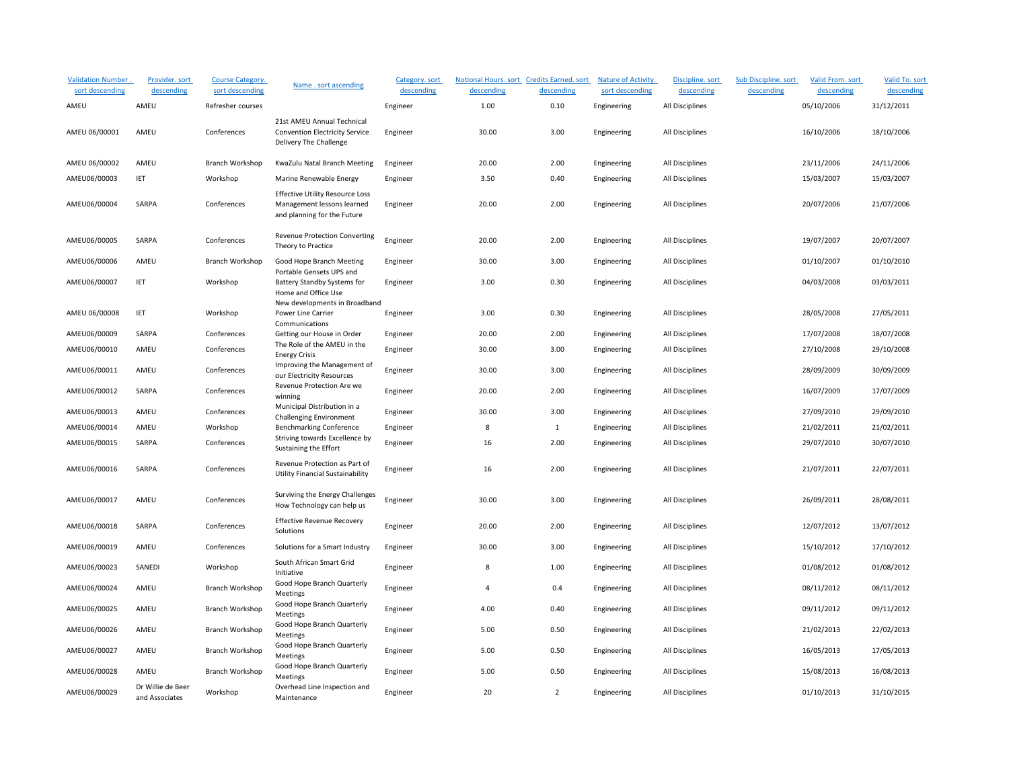| <b>Validation Number.</b><br>sort descending | Provider. sort<br>descending        | Course Category.<br>sort descending | Name . sort ascending                                                                               | Category. sort<br>descending | Notional Hours. sort Credits Earned. sort<br>descending | descending     | Nature of Activity.<br>sort descending | Discipline. sort<br>descending | Sub Discipline. sort<br>descending | Valid From. sort<br>descending | Valid To. sort<br>descending |
|----------------------------------------------|-------------------------------------|-------------------------------------|-----------------------------------------------------------------------------------------------------|------------------------------|---------------------------------------------------------|----------------|----------------------------------------|--------------------------------|------------------------------------|--------------------------------|------------------------------|
| AMEU                                         | AMEU                                | Refresher courses                   |                                                                                                     | Engineer                     | 1.00                                                    | 0.10           | Engineering                            | All Disciplines                |                                    | 05/10/2006                     | 31/12/2011                   |
| AMEU 06/00001                                | AMEU                                | Conferences                         | 21st AMEU Annual Technical<br><b>Convention Electricity Service</b><br>Delivery The Challenge       | Engineer                     | 30.00                                                   | 3.00           | Engineering                            | All Disciplines                |                                    | 16/10/2006                     | 18/10/2006                   |
| AMEU 06/00002                                | AMEU                                | Branch Workshop                     | KwaZulu Natal Branch Meeting                                                                        | Engineer                     | 20.00                                                   | 2.00           | Engineering                            | All Disciplines                |                                    | 23/11/2006                     | 24/11/2006                   |
| AMEU06/00003                                 | IET                                 | Workshop                            | Marine Renewable Energy                                                                             | Engineer                     | 3.50                                                    | 0.40           | Engineering                            | All Disciplines                |                                    | 15/03/2007                     | 15/03/2007                   |
| AMEU06/00004                                 | SARPA                               | Conferences                         | <b>Effective Utility Resource Loss</b><br>Management lessons learned<br>and planning for the Future | Engineer                     | 20.00                                                   | 2.00           | Engineering                            | All Disciplines                |                                    | 20/07/2006                     | 21/07/2006                   |
| AMEU06/00005                                 | SARPA                               | Conferences                         | Revenue Protection Converting<br>Theory to Practice                                                 | Engineer                     | 20.00                                                   | 2.00           | Engineering                            | All Disciplines                |                                    | 19/07/2007                     | 20/07/2007                   |
| AMEU06/00006                                 | AMEU                                | Branch Workshop                     | Good Hope Branch Meeting                                                                            | Engineer                     | 30.00                                                   | 3.00           | Engineering                            | All Disciplines                |                                    | 01/10/2007                     | 01/10/2010                   |
| AMEU06/00007                                 | <b>IET</b>                          | Workshop                            | Portable Gensets UPS and<br>Battery Standby Systems for<br>Home and Office Use                      | Engineer                     | 3.00                                                    | 0.30           | Engineering                            | All Disciplines                |                                    | 04/03/2008                     | 03/03/2011                   |
| AMEU 06/00008                                | <b>IET</b>                          | Workshop                            | New developments in Broadband<br>Power Line Carrier<br>Communications                               | Engineer                     | 3.00                                                    | 0.30           | Engineering                            | All Disciplines                |                                    | 28/05/2008                     | 27/05/2011                   |
| AMEU06/00009                                 | SARPA                               | Conferences                         | Getting our House in Order                                                                          | Engineer                     | 20.00                                                   | 2.00           | Engineering                            | All Disciplines                |                                    | 17/07/2008                     | 18/07/2008                   |
| AMEU06/00010                                 | AMEU                                | Conferences                         | The Role of the AMEU in the<br><b>Energy Crisis</b>                                                 | Engineer                     | 30.00                                                   | 3.00           | Engineering                            | All Disciplines                |                                    | 27/10/2008                     | 29/10/2008                   |
| AMEU06/00011                                 | AMEU                                | Conferences                         | Improving the Management of<br>our Electricity Resources                                            | Engineer                     | 30.00                                                   | 3.00           | Engineering                            | All Disciplines                |                                    | 28/09/2009                     | 30/09/2009                   |
| AMEU06/00012                                 | SARPA                               | Conferences                         | Revenue Protection Are we<br>winning                                                                | Engineer                     | 20.00                                                   | 2.00           | Engineering                            | All Disciplines                |                                    | 16/07/2009                     | 17/07/2009                   |
| AMEU06/00013                                 | AMEU                                | Conferences                         | Municipal Distribution in a<br><b>Challenging Environment</b>                                       | Engineer                     | 30.00                                                   | 3.00           | Engineering                            | All Disciplines                |                                    | 27/09/2010                     | 29/09/2010                   |
| AMEU06/00014                                 | AMEU                                | Workshop                            | <b>Benchmarking Conference</b>                                                                      | Engineer                     | 8                                                       | $\mathbf{1}$   | Engineering                            | All Disciplines                |                                    | 21/02/2011                     | 21/02/2011                   |
| AMEU06/00015                                 | SARPA                               | Conferences                         | Striving towards Excellence by<br>Sustaining the Effort                                             | Engineer                     | 16                                                      | 2.00           | Engineering                            | All Disciplines                |                                    | 29/07/2010                     | 30/07/2010                   |
| AMEU06/00016                                 | SARPA                               | Conferences                         | Revenue Protection as Part of<br><b>Utility Financial Sustainability</b>                            | Engineer                     | 16                                                      | 2.00           | Engineering                            | All Disciplines                |                                    | 21/07/2011                     | 22/07/2011                   |
| AMEU06/00017                                 | AMEU                                | Conferences                         | Surviving the Energy Challenges<br>How Technology can help us                                       | Engineer                     | 30.00                                                   | 3.00           | Engineering                            | All Disciplines                |                                    | 26/09/2011                     | 28/08/2011                   |
| AMEU06/00018                                 | SARPA                               | Conferences                         | <b>Effective Revenue Recovery</b><br>Solutions                                                      | Engineer                     | 20.00                                                   | 2.00           | Engineering                            | All Disciplines                |                                    | 12/07/2012                     | 13/07/2012                   |
| AMEU06/00019                                 | AMEU                                | Conferences                         | Solutions for a Smart Industry                                                                      | Engineer                     | 30.00                                                   | 3.00           | Engineering                            | All Disciplines                |                                    | 15/10/2012                     | 17/10/2012                   |
| AMEU06/00023                                 | SANEDI                              | Workshop                            | South African Smart Grid<br>Initiative                                                              | Engineer                     | 8                                                       | 1.00           | Engineering                            | All Disciplines                |                                    | 01/08/2012                     | 01/08/2012                   |
| AMEU06/00024                                 | AMEU                                | Branch Workshop                     | Good Hope Branch Quarterly<br>Meetings                                                              | Engineer                     | 4                                                       | 0.4            | Engineering                            | All Disciplines                |                                    | 08/11/2012                     | 08/11/2012                   |
| AMEU06/00025                                 | AMEU                                | Branch Workshop                     | Good Hope Branch Quarterly<br>Meetings                                                              | Engineer                     | 4.00                                                    | 0.40           | Engineering                            | All Disciplines                |                                    | 09/11/2012                     | 09/11/2012                   |
| AMEU06/00026                                 | AMEU                                | Branch Workshop                     | Good Hope Branch Quarterly<br>Meetings                                                              | Engineer                     | 5.00                                                    | 0.50           | Engineering                            | All Disciplines                |                                    | 21/02/2013                     | 22/02/2013                   |
| AMEU06/00027                                 | AMEU                                | Branch Workshop                     | Good Hope Branch Quarterly<br>Meetings                                                              | Engineer                     | 5.00                                                    | 0.50           | Engineering                            | All Disciplines                |                                    | 16/05/2013                     | 17/05/2013                   |
| AMEU06/00028                                 | AMEU                                | Branch Workshop                     | Good Hope Branch Quarterly<br>Meetings                                                              | Engineer                     | 5.00                                                    | 0.50           | Engineering                            | All Disciplines                |                                    | 15/08/2013                     | 16/08/2013                   |
| AMEU06/00029                                 | Dr Willie de Beer<br>and Associates | Workshop                            | Overhead Line Inspection and<br>Maintenance                                                         | Engineer                     | 20                                                      | $\overline{2}$ | Engineering                            | All Disciplines                |                                    | 01/10/2013                     | 31/10/2015                   |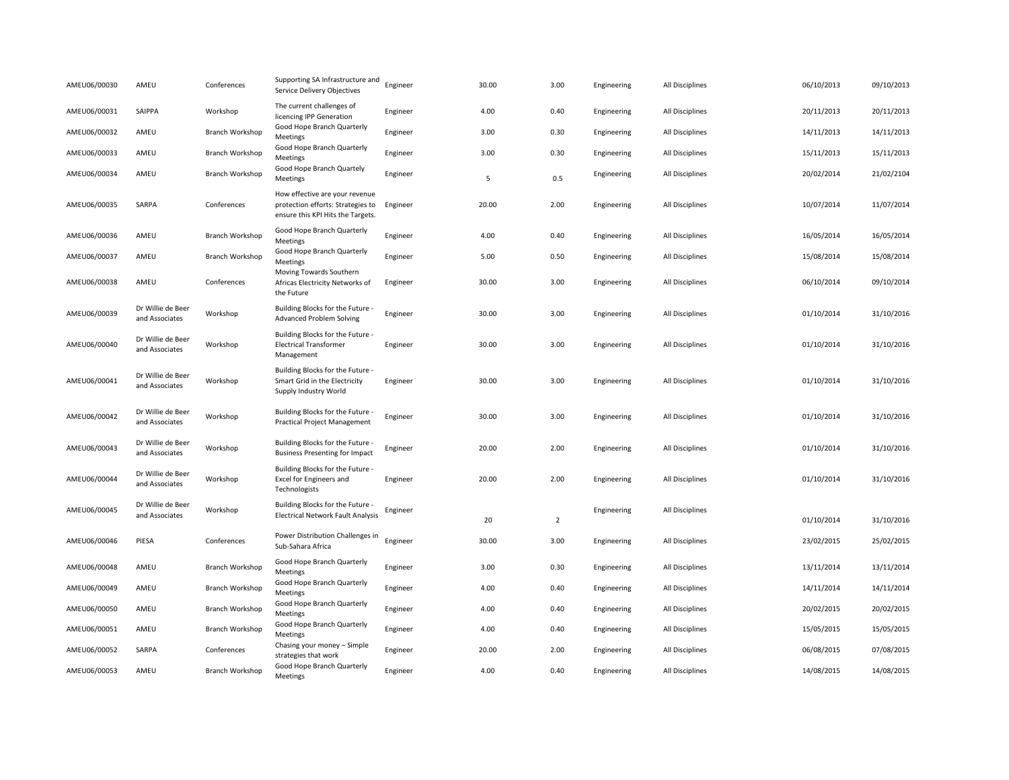| AMEU06/00030 | AMEU                                | Conferences            | Supporting SA Infrastructure and<br>Service Delivery Objectives                                          | Engineer | 30.00 | 3.00           | Engineering | All Disciplines | 06/10/2013 | 09/10/2013 |
|--------------|-------------------------------------|------------------------|----------------------------------------------------------------------------------------------------------|----------|-------|----------------|-------------|-----------------|------------|------------|
| AMEU06/00031 | SAIPPA                              | Workshop               | The current challenges of<br>licencing IPP Generation                                                    | Engineer | 4.00  | 0.40           | Engineering | All Disciplines | 20/11/2013 | 20/11/2013 |
| AMEU06/00032 | AMEU                                | Branch Workshop        | Good Hope Branch Quarterly<br>Meetings                                                                   | Engineer | 3.00  | 0.30           | Engineering | All Disciplines | 14/11/2013 | 14/11/2013 |
| AMEU06/00033 | AMEU                                | Branch Workshop        | Good Hope Branch Quarterly<br>Meetings                                                                   | Engineer | 3.00  | 0.30           | Engineering | All Disciplines | 15/11/2013 | 15/11/2013 |
| AMEU06/00034 | AMEU                                | Branch Workshop        | Good Hope Branch Quartely<br>Meetings                                                                    | Engineer | 5     | 0.5            | Engineering | All Disciplines | 20/02/2014 | 21/02/2104 |
| AMEU06/00035 | SARPA                               | Conferences            | How effective are your revenue<br>protection efforts: Strategies to<br>ensure this KPI Hits the Targets. | Engineer | 20.00 | 2.00           | Engineering | All Disciplines | 10/07/2014 | 11/07/2014 |
| AMEU06/00036 | AMEU                                | <b>Branch Workshop</b> | Good Hope Branch Quarterly<br>Meetings                                                                   | Engineer | 4.00  | 0.40           | Engineering | All Disciplines | 16/05/2014 | 16/05/2014 |
| AMEU06/00037 | AMEU                                | Branch Workshop        | Good Hope Branch Quarterly<br>Meetings                                                                   | Engineer | 5.00  | 0.50           | Engineering | All Disciplines | 15/08/2014 | 15/08/2014 |
| AMEU06/00038 | AMEU                                | Conferences            | Moving Towards Southern<br>Africas Electricity Networks of<br>the Future                                 | Engineer | 30.00 | 3.00           | Engineering | All Disciplines | 06/10/2014 | 09/10/2014 |
| AMEU06/00039 | Dr Willie de Beer<br>and Associates | Workshop               | Building Blocks for the Future -<br><b>Advanced Problem Solving</b>                                      | Engineer | 30.00 | 3.00           | Engineering | All Disciplines | 01/10/2014 | 31/10/2016 |
| AMEU06/00040 | Dr Willie de Beer<br>and Associates | Workshop               | Building Blocks for the Future -<br><b>Electrical Transformer</b><br>Management                          | Engineer | 30.00 | 3.00           | Engineering | All Disciplines | 01/10/2014 | 31/10/2016 |
| AMEU06/00041 | Dr Willie de Beer<br>and Associates | Workshop               | Building Blocks for the Future -<br>Smart Grid in the Electricity<br>Supply Industry World               | Engineer | 30.00 | 3.00           | Engineering | All Disciplines | 01/10/2014 | 31/10/2016 |
| AMEU06/00042 | Dr Willie de Beer<br>and Associates | Workshop               | Building Blocks for the Future -<br>Practical Project Management                                         | Engineer | 30.00 | 3.00           | Engineering | All Disciplines | 01/10/2014 | 31/10/2016 |
| AMEU06/00043 | Dr Willie de Beer<br>and Associates | Workshop               | Building Blocks for the Future -<br><b>Business Presenting for Impact</b>                                | Engineer | 20.00 | 2.00           | Engineering | All Disciplines | 01/10/2014 | 31/10/2016 |
| AMEU06/00044 | Dr Willie de Beer<br>and Associates | Workshop               | Building Blocks for the Future -<br>Excel for Engineers and<br>Technologists                             | Engineer | 20.00 | 2.00           | Engineering | All Disciplines | 01/10/2014 | 31/10/2016 |
| AMEU06/00045 | Dr Willie de Beer<br>and Associates | Workshop               | Building Blocks for the Future -<br><b>Electrical Network Fault Analysis</b>                             | Engineer | 20    | $\overline{2}$ | Engineering | All Disciplines | 01/10/2014 | 31/10/2016 |
| AMEU06/00046 | PIESA                               | Conferences            | Power Distribution Challenges in<br>Sub-Sahara Africa                                                    | Engineer | 30.00 | 3.00           | Engineering | All Disciplines | 23/02/2015 | 25/02/2015 |
| AMEU06/00048 | AMEU                                | Branch Workshop        | Good Hope Branch Quarterly<br>Meetings                                                                   | Engineer | 3.00  | 0.30           | Engineering | All Disciplines | 13/11/2014 | 13/11/2014 |
| AMEU06/00049 | AMEU                                | Branch Workshop        | Good Hope Branch Quarterly<br>Meetings                                                                   | Engineer | 4.00  | 0.40           | Engineering | All Disciplines | 14/11/2014 | 14/11/2014 |
| AMEU06/00050 | AMEU                                | Branch Workshop        | Good Hope Branch Quarterly<br>Meetings                                                                   | Engineer | 4.00  | 0.40           | Engineering | All Disciplines | 20/02/2015 | 20/02/2015 |
| AMEU06/00051 | AMEU                                | <b>Branch Workshop</b> | Good Hope Branch Quarterly<br>Meetings                                                                   | Engineer | 4.00  | 0.40           | Engineering | All Disciplines | 15/05/2015 | 15/05/2015 |
| AMEU06/00052 | SARPA                               | Conferences            | Chasing your money - Simple<br>strategies that work                                                      | Engineer | 20.00 | 2.00           | Engineering | All Disciplines | 06/08/2015 | 07/08/2015 |
| AMEU06/00053 | AMEU                                | <b>Branch Workshop</b> | Good Hope Branch Quarterly<br>Meetings                                                                   | Engineer | 4.00  | 0.40           | Engineering | All Disciplines | 14/08/2015 | 14/08/2015 |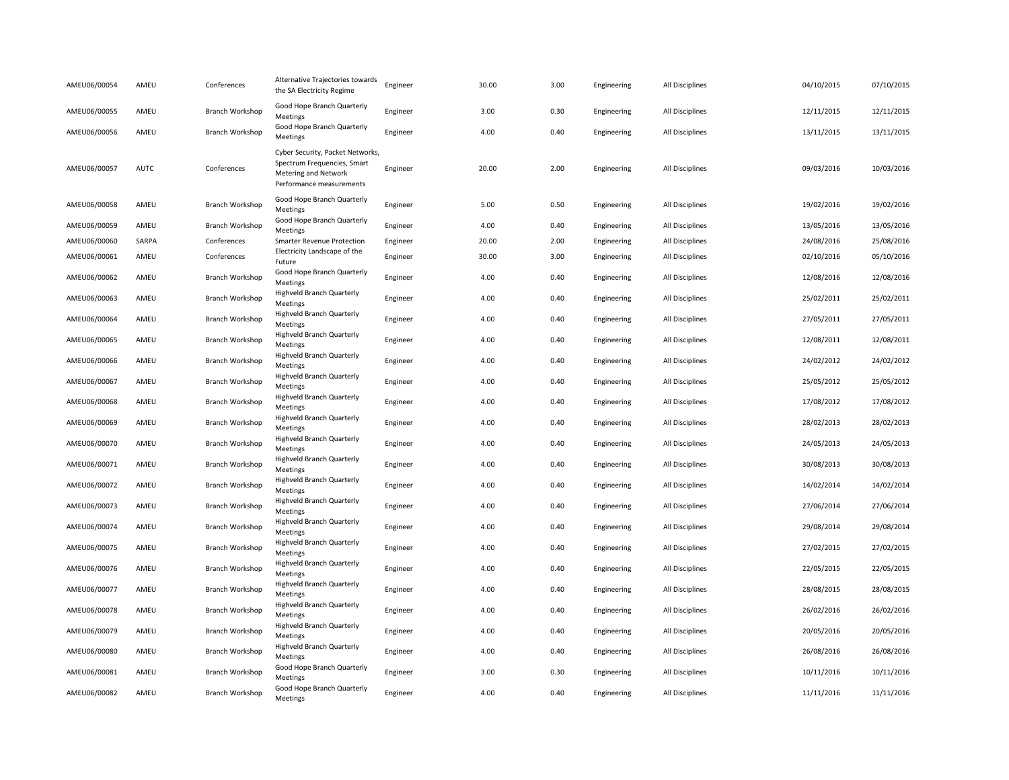| AMEU06/00054 | AMEU        | Conferences            | Alternative Trajectories towards<br>the SA Electricity Regime                                                       | Engineer | 30.00 | 3.00 | Engineering | All Disciplines | 04/10/2015 | 07/10/2015 |
|--------------|-------------|------------------------|---------------------------------------------------------------------------------------------------------------------|----------|-------|------|-------------|-----------------|------------|------------|
| AMEU06/00055 | AMEU        | <b>Branch Workshop</b> | Good Hope Branch Quarterly<br>Meetings                                                                              | Engineer | 3.00  | 0.30 | Engineering | All Disciplines | 12/11/2015 | 12/11/2015 |
| AMEU06/00056 | AMEU        | Branch Workshop        | Good Hope Branch Quarterly<br>Meetings                                                                              | Engineer | 4.00  | 0.40 | Engineering | All Disciplines | 13/11/2015 | 13/11/2015 |
| AMEU06/00057 | <b>AUTC</b> | Conferences            | Cyber Security, Packet Networks,<br>Spectrum Frequencies, Smart<br>Metering and Network<br>Performance measurements | Engineer | 20.00 | 2.00 | Engineering | All Disciplines | 09/03/2016 | 10/03/2016 |
| AMEU06/00058 | AMEU        | Branch Workshop        | Good Hope Branch Quarterly<br>Meetings                                                                              | Engineer | 5.00  | 0.50 | Engineering | All Disciplines | 19/02/2016 | 19/02/2016 |
| AMEU06/00059 | AMEU        | Branch Workshop        | Good Hope Branch Quarterly<br>Meetings                                                                              | Engineer | 4.00  | 0.40 | Engineering | All Disciplines | 13/05/2016 | 13/05/2016 |
| AMEU06/00060 | SARPA       | Conferences            | Smarter Revenue Protection                                                                                          | Engineer | 20.00 | 2.00 | Engineering | All Disciplines | 24/08/2016 | 25/08/2016 |
| AMEU06/00061 | AMEU        | Conferences            | Electricity Landscape of the<br>Future                                                                              | Engineer | 30.00 | 3.00 | Engineering | All Disciplines | 02/10/2016 | 05/10/2016 |
| AMEU06/00062 | AMEU        | Branch Workshop        | Good Hope Branch Quarterly<br>Meetings                                                                              | Engineer | 4.00  | 0.40 | Engineering | All Disciplines | 12/08/2016 | 12/08/2016 |
| AMEU06/00063 | AMEU        | Branch Workshop        | Highveld Branch Quarterly<br>Meetings                                                                               | Engineer | 4.00  | 0.40 | Engineering | All Disciplines | 25/02/2011 | 25/02/2011 |
| AMEU06/00064 | AMEU        | Branch Workshop        | Highveld Branch Quarterly<br>Meetings                                                                               | Engineer | 4.00  | 0.40 | Engineering | All Disciplines | 27/05/2011 | 27/05/2011 |
| AMEU06/00065 | AMEU        | Branch Workshop        | Highveld Branch Quarterly<br>Meetings                                                                               | Engineer | 4.00  | 0.40 | Engineering | All Disciplines | 12/08/2011 | 12/08/2011 |
| AMEU06/00066 | AMEU        | Branch Workshop        | Highveld Branch Quarterly<br>Meetings                                                                               | Engineer | 4.00  | 0.40 | Engineering | All Disciplines | 24/02/2012 | 24/02/2012 |
| AMEU06/00067 | AMEU        | Branch Workshop        | Highveld Branch Quarterly<br>Meetings                                                                               | Engineer | 4.00  | 0.40 | Engineering | All Disciplines | 25/05/2012 | 25/05/2012 |
| AMEU06/00068 | AMEU        | Branch Workshop        | Highveld Branch Quarterly<br>Meetings                                                                               | Engineer | 4.00  | 0.40 | Engineering | All Disciplines | 17/08/2012 | 17/08/2012 |
| AMEU06/00069 | AMEU        | Branch Workshop        | Highveld Branch Quarterly<br>Meetings                                                                               | Engineer | 4.00  | 0.40 | Engineering | All Disciplines | 28/02/2013 | 28/02/2013 |
| AMEU06/00070 | AMEU        | Branch Workshop        | Highveld Branch Quarterly<br>Meetings                                                                               | Engineer | 4.00  | 0.40 | Engineering | All Disciplines | 24/05/2013 | 24/05/2013 |
| AMEU06/00071 | AMEU        | Branch Workshop        | Highveld Branch Quarterly<br>Meetings                                                                               | Engineer | 4.00  | 0.40 | Engineering | All Disciplines | 30/08/2013 | 30/08/2013 |
| AMEU06/00072 | AMEU        | Branch Workshop        | Highveld Branch Quarterly<br>Meetings                                                                               | Engineer | 4.00  | 0.40 | Engineering | All Disciplines | 14/02/2014 | 14/02/2014 |
| AMEU06/00073 | AMEU        | Branch Workshop        | Highveld Branch Quarterly<br>Meetings                                                                               | Engineer | 4.00  | 0.40 | Engineering | All Disciplines | 27/06/2014 | 27/06/2014 |
| AMEU06/00074 | AMEU        | Branch Workshop        | Highveld Branch Quarterly<br>Meetings                                                                               | Engineer | 4.00  | 0.40 | Engineering | All Disciplines | 29/08/2014 | 29/08/2014 |
| AMEU06/00075 | AMEU        | Branch Workshop        | Highveld Branch Quarterly<br>Meetings                                                                               | Engineer | 4.00  | 0.40 | Engineering | All Disciplines | 27/02/2015 | 27/02/2015 |
| AMEU06/00076 | AMEU        | Branch Workshop        | Highveld Branch Quarterly<br>Meetings                                                                               | Engineer | 4.00  | 0.40 | Engineering | All Disciplines | 22/05/2015 | 22/05/2015 |
| AMEU06/00077 | AMEU        | Branch Workshop        | Highveld Branch Quarterly<br>Meetings                                                                               | Engineer | 4.00  | 0.40 | Engineering | All Disciplines | 28/08/2015 | 28/08/2015 |
| AMEU06/00078 | AMEU        | Branch Workshop        | Highveld Branch Quarterly<br>Meetings                                                                               | Engineer | 4.00  | 0.40 | Engineering | All Disciplines | 26/02/2016 | 26/02/2016 |
| AMEU06/00079 | AMEU        | Branch Workshop        | Highveld Branch Quarterly<br>Meetings                                                                               | Engineer | 4.00  | 0.40 | Engineering | All Disciplines | 20/05/2016 | 20/05/2016 |
| AMEU06/00080 | AMEU        | Branch Workshop        | Highveld Branch Quarterly<br>Meetings                                                                               | Engineer | 4.00  | 0.40 | Engineering | All Disciplines | 26/08/2016 | 26/08/2016 |
| AMEU06/00081 | AMEU        | Branch Workshop        | Good Hope Branch Quarterly<br>Meetings                                                                              | Engineer | 3.00  | 0.30 | Engineering | All Disciplines | 10/11/2016 | 10/11/2016 |
| AMEU06/00082 | AMEU        | Branch Workshop        | Good Hope Branch Quarterly<br>Meetings                                                                              | Engineer | 4.00  | 0.40 | Engineering | All Disciplines | 11/11/2016 | 11/11/2016 |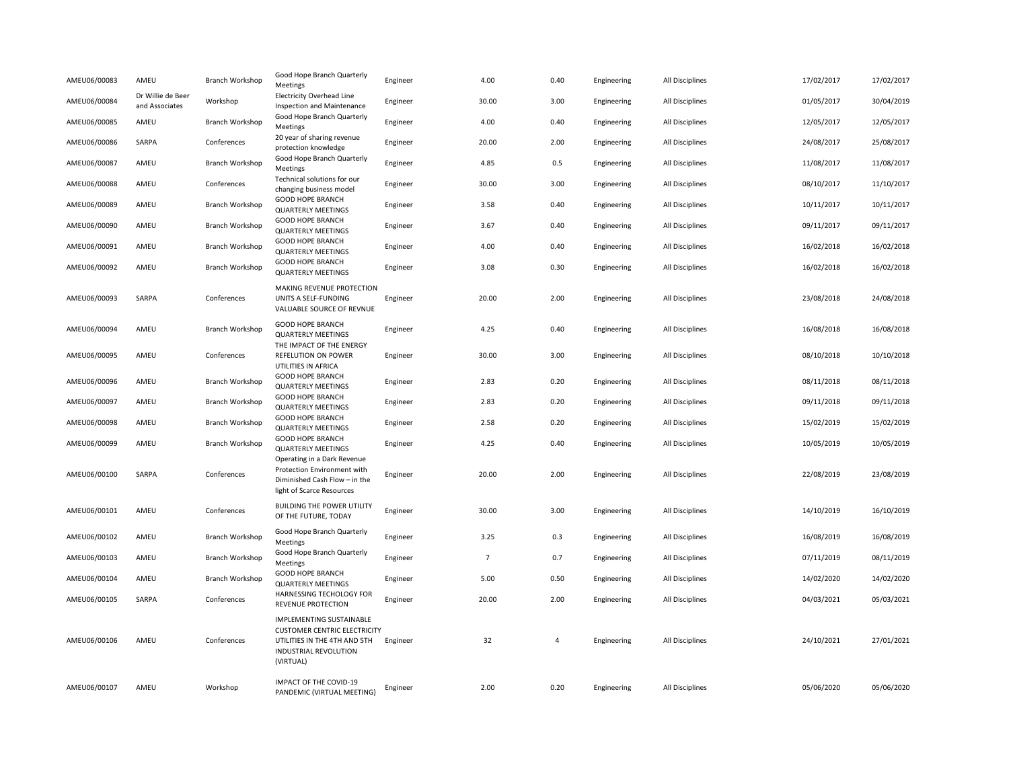| AMEU06/00083 | AMEU                                | Branch Workshop        | Good Hope Branch Quarterly<br>Meetings                                                                                                       | Engineer | 4.00            | 0.40           | Engineering | All Disciplines | 17/02/2017 | 17/02/2017 |
|--------------|-------------------------------------|------------------------|----------------------------------------------------------------------------------------------------------------------------------------------|----------|-----------------|----------------|-------------|-----------------|------------|------------|
| AMEU06/00084 | Dr Willie de Beer<br>and Associates | Workshop               | <b>Electricity Overhead Line</b><br>Inspection and Maintenance                                                                               | Engineer | 30.00           | 3.00           | Engineering | All Disciplines | 01/05/2017 | 30/04/2019 |
| AMEU06/00085 | AMEU                                | Branch Workshop        | Good Hope Branch Quarterly<br>Meetings                                                                                                       | Engineer | 4.00            | 0.40           | Engineering | All Disciplines | 12/05/2017 | 12/05/2017 |
| AMEU06/00086 | SARPA                               | Conferences            | 20 year of sharing revenue<br>protection knowledge                                                                                           | Engineer | 20.00           | 2.00           | Engineering | All Disciplines | 24/08/2017 | 25/08/2017 |
| AMEU06/00087 | AMEU                                | Branch Workshop        | Good Hope Branch Quarterly<br>Meetings                                                                                                       | Engineer | 4.85            | 0.5            | Engineering | All Disciplines | 11/08/2017 | 11/08/2017 |
| AMEU06/00088 | AMEU                                | Conferences            | Technical solutions for our<br>changing business model                                                                                       | Engineer | 30.00           | 3.00           | Engineering | All Disciplines | 08/10/2017 | 11/10/2017 |
| AMEU06/00089 | AMEU                                | Branch Workshop        | GOOD HOPE BRANCH<br><b>QUARTERLY MEETINGS</b>                                                                                                | Engineer | 3.58            | 0.40           | Engineering | All Disciplines | 10/11/2017 | 10/11/2017 |
| AMEU06/00090 | AMEU                                | Branch Workshop        | GOOD HOPE BRANCH<br><b>QUARTERLY MEETINGS</b>                                                                                                | Engineer | 3.67            | 0.40           | Engineering | All Disciplines | 09/11/2017 | 09/11/2017 |
| AMEU06/00091 | AMEU                                | Branch Workshop        | GOOD HOPE BRANCH<br><b>QUARTERLY MEETINGS</b>                                                                                                | Engineer | 4.00            | 0.40           | Engineering | All Disciplines | 16/02/2018 | 16/02/2018 |
| AMEU06/00092 | AMEU                                | Branch Workshop        | GOOD HOPE BRANCH<br><b>QUARTERLY MEETINGS</b>                                                                                                | Engineer | 3.08            | 0.30           | Engineering | All Disciplines | 16/02/2018 | 16/02/2018 |
|              |                                     |                        | MAKING REVENUE PROTECTION                                                                                                                    |          |                 |                |             |                 |            |            |
| AMEU06/00093 | SARPA                               | Conferences            | UNITS A SELF-FUNDING<br>VALUABLE SOURCE OF REVNUE                                                                                            | Engineer | 20.00           | 2.00           | Engineering | All Disciplines | 23/08/2018 | 24/08/2018 |
| AMEU06/00094 | AMEU                                | Branch Workshop        | GOOD HOPE BRANCH<br><b>QUARTERLY MEETINGS</b><br>THE IMPACT OF THE ENERGY                                                                    | Engineer | 4.25            | 0.40           | Engineering | All Disciplines | 16/08/2018 | 16/08/2018 |
| AMEU06/00095 | AMEU                                | Conferences            | REFELUTION ON POWER<br>UTILITIES IN AFRICA                                                                                                   | Engineer | 30.00           | 3.00           | Engineering | All Disciplines | 08/10/2018 | 10/10/2018 |
| AMEU06/00096 | AMEU                                | Branch Workshop        | <b>GOOD HOPE BRANCH</b><br><b>QUARTERLY MEETINGS</b>                                                                                         | Engineer | 2.83            | 0.20           | Engineering | All Disciplines | 08/11/2018 | 08/11/2018 |
| AMEU06/00097 | AMEU                                | Branch Workshop        | GOOD HOPE BRANCH<br><b>QUARTERLY MEETINGS</b>                                                                                                | Engineer | 2.83            | 0.20           | Engineering | All Disciplines | 09/11/2018 | 09/11/2018 |
| AMEU06/00098 | AMEU                                | Branch Workshop        | GOOD HOPE BRANCH<br><b>QUARTERLY MEETINGS</b>                                                                                                | Engineer | 2.58            | 0.20           | Engineering | All Disciplines | 15/02/2019 | 15/02/2019 |
| AMEU06/00099 | AMEU                                | Branch Workshop        | GOOD HOPE BRANCH<br><b>QUARTERLY MEETINGS</b>                                                                                                | Engineer | 4.25            | 0.40           | Engineering | All Disciplines | 10/05/2019 | 10/05/2019 |
| AMEU06/00100 | SARPA                               | Conferences            | Operating in a Dark Revenue<br>Protection Environment with<br>Diminished Cash Flow - in the<br>light of Scarce Resources                     | Engineer | 20.00           | 2.00           | Engineering | All Disciplines | 22/08/2019 | 23/08/2019 |
| AMEU06/00101 | AMEU                                | Conferences            | BUILDING THE POWER UTILITY<br>OF THE FUTURE, TODAY                                                                                           | Engineer | 30.00           | 3.00           | Engineering | All Disciplines | 14/10/2019 | 16/10/2019 |
| AMEU06/00102 | AMEU                                | <b>Branch Workshop</b> | Good Hope Branch Quarterly<br>Meetings                                                                                                       | Engineer | 3.25            | 0.3            | Engineering | All Disciplines | 16/08/2019 | 16/08/2019 |
| AMEU06/00103 | AMEU                                | Branch Workshop        | Good Hope Branch Quarterly<br>Meetings                                                                                                       | Engineer | $7\overline{ }$ | 0.7            | Engineering | All Disciplines | 07/11/2019 | 08/11/2019 |
| AMEU06/00104 | AMEU                                | Branch Workshop        | GOOD HOPE BRANCH<br><b>QUARTERLY MEETINGS</b>                                                                                                | Engineer | 5.00            | 0.50           | Engineering | All Disciplines | 14/02/2020 | 14/02/2020 |
| AMEU06/00105 | SARPA                               | Conferences            | HARNESSING TECHOLOGY FOR<br>REVENUE PROTECTION                                                                                               | Engineer | 20.00           | 2.00           | Engineering | All Disciplines | 04/03/2021 | 05/03/2021 |
| AMEU06/00106 | AMEU                                | Conferences            | <b>IMPLEMENTING SUSTAINABLE</b><br><b>CUSTOMER CENTRIC ELECTRICITY</b><br>UTILITIES IN THE 4TH AND 5TH<br>INDUSTRIAL REVOLUTION<br>(VIRTUAL) | Engineer | 32              | $\overline{4}$ | Engineering | All Disciplines | 24/10/2021 | 27/01/2021 |
| AMEU06/00107 | AMEU                                | Workshop               | IMPACT OF THE COVID-19<br>PANDEMIC (VIRTUAL MEETING)                                                                                         | Engineer | 2.00            | 0.20           | Engineering | All Disciplines | 05/06/2020 | 05/06/2020 |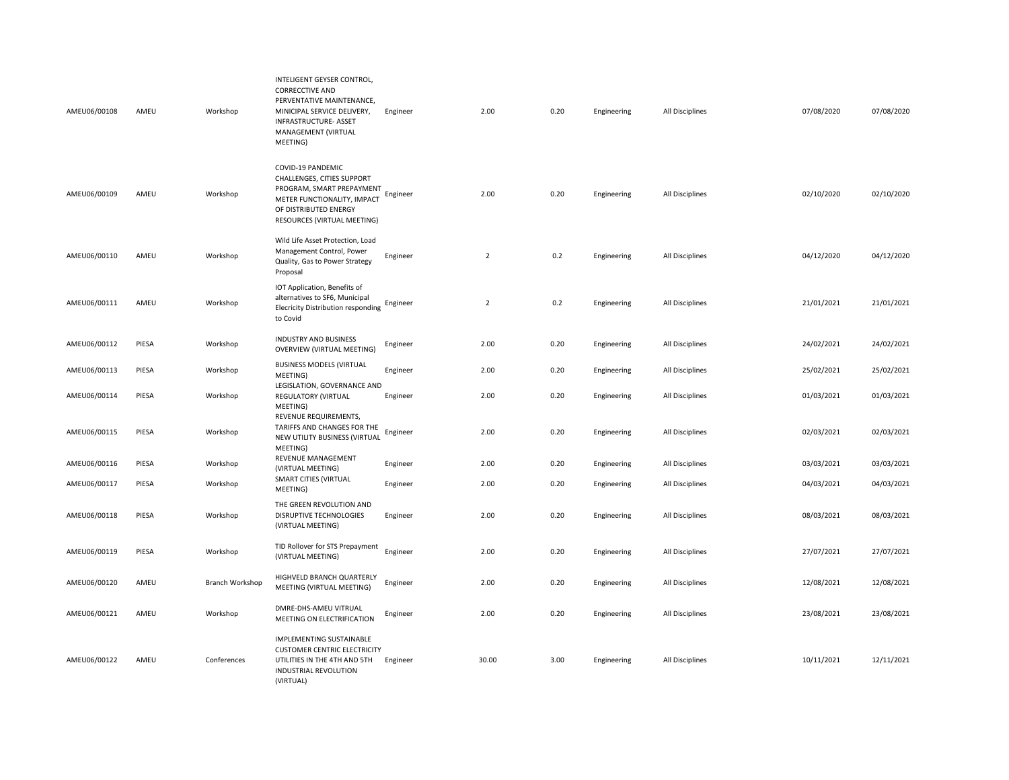| AMEU06/00108 | AMEU  | Workshop        | INTELIGENT GEYSER CONTROL,<br><b>CORRECCTIVE AND</b><br>PERVENTATIVE MAINTENANCE,<br>MINICIPAL SERVICE DELIVERY,<br><b>INFRASTRUCTURE- ASSET</b><br>MANAGEMENT (VIRTUAL<br>MEETING) | Engineer | 2.00           | 0.20 | Engineering | All Disciplines | 07/08/2020 | 07/08/2020 |
|--------------|-------|-----------------|-------------------------------------------------------------------------------------------------------------------------------------------------------------------------------------|----------|----------------|------|-------------|-----------------|------------|------------|
| AMEU06/00109 | AMEU  | Workshop        | COVID-19 PANDEMIC<br>CHALLENGES, CITIES SUPPORT<br>PROGRAM, SMART PREPAYMENT<br>METER FUNCTIONALITY, IMPACT<br>OF DISTRIBUTED ENERGY<br>RESOURCES (VIRTUAL MEETING)                 | Engineer | 2.00           | 0.20 | Engineering | All Disciplines | 02/10/2020 | 02/10/2020 |
| AMEU06/00110 | AMEU  | Workshop        | Wild Life Asset Protection, Load<br>Management Control, Power<br>Quality, Gas to Power Strategy<br>Proposal                                                                         | Engineer | $\overline{2}$ | 0.2  | Engineering | All Disciplines | 04/12/2020 | 04/12/2020 |
| AMEU06/00111 | AMEU  | Workshop        | IOT Application, Benefits of<br>alternatives to SF6, Municipal<br><b>Elecricity Distribution responding</b><br>to Covid                                                             | Engineer | $\overline{2}$ | 0.2  | Engineering | All Disciplines | 21/01/2021 | 21/01/2021 |
| AMEU06/00112 | PIESA | Workshop        | INDUSTRY AND BUSINESS<br><b>OVERVIEW (VIRTUAL MEETING)</b>                                                                                                                          | Engineer | 2.00           | 0.20 | Engineering | All Disciplines | 24/02/2021 | 24/02/2021 |
| AMEU06/00113 | PIESA | Workshop        | <b>BUSINESS MODELS (VIRTUAL</b><br>MEETING)                                                                                                                                         | Engineer | 2.00           | 0.20 | Engineering | All Disciplines | 25/02/2021 | 25/02/2021 |
| AMEU06/00114 | PIESA | Workshop        | LEGISLATION, GOVERNANCE AND<br>REGULATORY (VIRTUAL<br>MEETING)                                                                                                                      | Engineer | 2.00           | 0.20 | Engineering | All Disciplines | 01/03/2021 | 01/03/2021 |
| AMEU06/00115 | PIESA | Workshop        | REVENUE REQUIREMENTS,<br>TARIFFS AND CHANGES FOR THE<br>NEW UTILITY BUSINESS (VIRTUAL<br>MEETING)                                                                                   | Engineer | 2.00           | 0.20 | Engineering | All Disciplines | 02/03/2021 | 02/03/2021 |
| AMEU06/00116 | PIESA | Workshop        | REVENUE MANAGEMENT<br>(VIRTUAL MEETING)                                                                                                                                             | Engineer | 2.00           | 0.20 | Engineering | All Disciplines | 03/03/2021 | 03/03/2021 |
| AMEU06/00117 | PIESA | Workshop        | SMART CITIES (VIRTUAL<br>MEETING)                                                                                                                                                   | Engineer | 2.00           | 0.20 | Engineering | All Disciplines | 04/03/2021 | 04/03/2021 |
| AMEU06/00118 | PIESA | Workshop        | THE GREEN REVOLUTION AND<br>DISRUPTIVE TECHNOLOGIES<br>(VIRTUAL MEETING)                                                                                                            | Engineer | 2.00           | 0.20 | Engineering | All Disciplines | 08/03/2021 | 08/03/2021 |
| AMEU06/00119 | PIESA | Workshop        | TID Rollover for STS Prepayment<br>(VIRTUAL MEETING)                                                                                                                                | Engineer | 2.00           | 0.20 | Engineering | All Disciplines | 27/07/2021 | 27/07/2021 |
| AMEU06/00120 | AMEU  | Branch Workshop | HIGHVELD BRANCH QUARTERLY<br>MEETING (VIRTUAL MEETING)                                                                                                                              | Engineer | 2.00           | 0.20 | Engineering | All Disciplines | 12/08/2021 | 12/08/2021 |
| AMEU06/00121 | AMEU  | Workshop        | DMRE-DHS-AMEU VITRUAL<br>MEETING ON ELECTRIFICATION                                                                                                                                 | Engineer | 2.00           | 0.20 | Engineering | All Disciplines | 23/08/2021 | 23/08/2021 |
| AMEU06/00122 | AMEU  | Conferences     | IMPLEMENTING SUSTAINABLE<br><b>CUSTOMER CENTRIC ELECTRICITY</b><br>UTILITIES IN THE 4TH AND 5TH<br>INDUSTRIAL REVOLUTION<br>(VIRTUAL)                                               | Engineer | 30.00          | 3.00 | Engineering | All Disciplines | 10/11/2021 | 12/11/2021 |